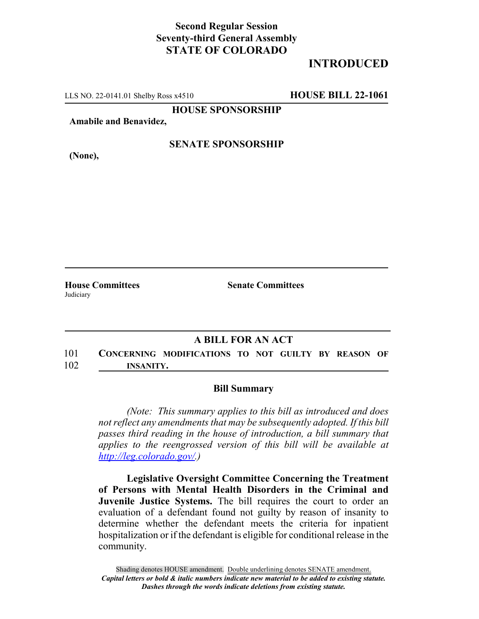## **Second Regular Session Seventy-third General Assembly STATE OF COLORADO**

# **INTRODUCED**

LLS NO. 22-0141.01 Shelby Ross x4510 **HOUSE BILL 22-1061**

**HOUSE SPONSORSHIP**

**Amabile and Benavidez,**

#### **SENATE SPONSORSHIP**

**(None),**

Judiciary

**House Committees Senate Committees**

### **A BILL FOR AN ACT**

101 **CONCERNING MODIFICATIONS TO NOT GUILTY BY REASON OF** 102 **INSANITY.**

#### **Bill Summary**

*(Note: This summary applies to this bill as introduced and does not reflect any amendments that may be subsequently adopted. If this bill passes third reading in the house of introduction, a bill summary that applies to the reengrossed version of this bill will be available at http://leg.colorado.gov/.)*

**Legislative Oversight Committee Concerning the Treatment of Persons with Mental Health Disorders in the Criminal and Juvenile Justice Systems.** The bill requires the court to order an evaluation of a defendant found not guilty by reason of insanity to determine whether the defendant meets the criteria for inpatient hospitalization or if the defendant is eligible for conditional release in the community.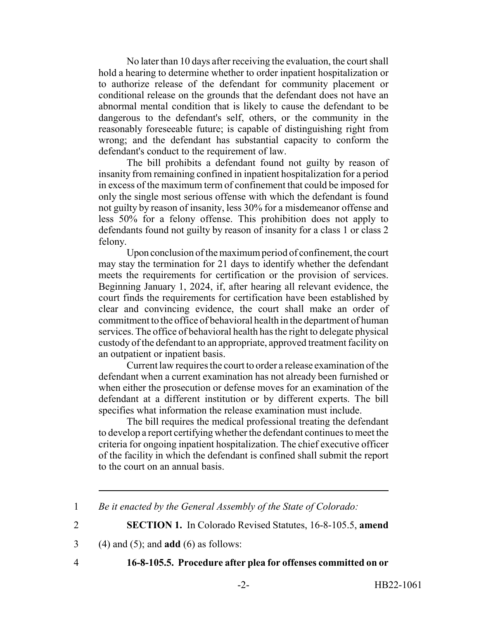No later than 10 days after receiving the evaluation, the court shall hold a hearing to determine whether to order inpatient hospitalization or to authorize release of the defendant for community placement or conditional release on the grounds that the defendant does not have an abnormal mental condition that is likely to cause the defendant to be dangerous to the defendant's self, others, or the community in the reasonably foreseeable future; is capable of distinguishing right from wrong; and the defendant has substantial capacity to conform the defendant's conduct to the requirement of law.

The bill prohibits a defendant found not guilty by reason of insanity from remaining confined in inpatient hospitalization for a period in excess of the maximum term of confinement that could be imposed for only the single most serious offense with which the defendant is found not guilty by reason of insanity, less 30% for a misdemeanor offense and less 50% for a felony offense. This prohibition does not apply to defendants found not guilty by reason of insanity for a class 1 or class 2 felony.

Upon conclusion of the maximum period of confinement, the court may stay the termination for 21 days to identify whether the defendant meets the requirements for certification or the provision of services. Beginning January 1, 2024, if, after hearing all relevant evidence, the court finds the requirements for certification have been established by clear and convincing evidence, the court shall make an order of commitment to the office of behavioral health in the department of human services. The office of behavioral health has the right to delegate physical custody of the defendant to an appropriate, approved treatment facility on an outpatient or inpatient basis.

Current law requires the court to order a release examination of the defendant when a current examination has not already been furnished or when either the prosecution or defense moves for an examination of the defendant at a different institution or by different experts. The bill specifies what information the release examination must include.

The bill requires the medical professional treating the defendant to develop a report certifying whether the defendant continues to meet the criteria for ongoing inpatient hospitalization. The chief executive officer of the facility in which the defendant is confined shall submit the report to the court on an annual basis.

2 **SECTION 1.** In Colorado Revised Statutes, 16-8-105.5, **amend**

3 (4) and (5); and **add** (6) as follows:

### 4 **16-8-105.5. Procedure after plea for offenses committed on or**

<sup>1</sup> *Be it enacted by the General Assembly of the State of Colorado:*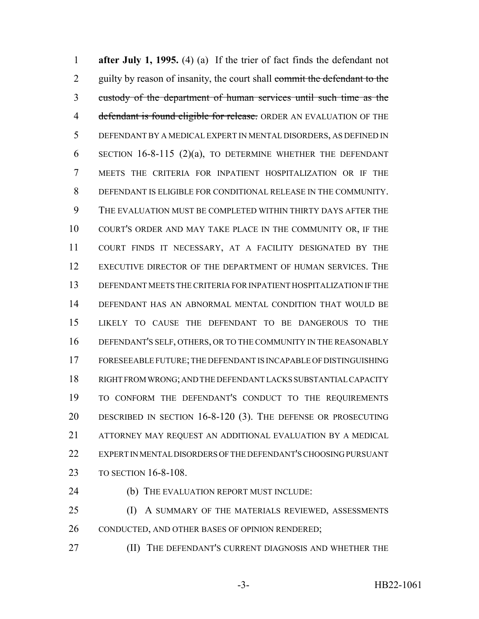**after July 1, 1995.** (4) (a) If the trier of fact finds the defendant not 2 guilty by reason of insanity, the court shall commit the defendant to the custody of the department of human services until such time as the 4 defendant is found eligible for release. ORDER AN EVALUATION OF THE DEFENDANT BY A MEDICAL EXPERT IN MENTAL DISORDERS, AS DEFINED IN SECTION 16-8-115 (2)(a), TO DETERMINE WHETHER THE DEFENDANT MEETS THE CRITERIA FOR INPATIENT HOSPITALIZATION OR IF THE DEFENDANT IS ELIGIBLE FOR CONDITIONAL RELEASE IN THE COMMUNITY. THE EVALUATION MUST BE COMPLETED WITHIN THIRTY DAYS AFTER THE COURT'S ORDER AND MAY TAKE PLACE IN THE COMMUNITY OR, IF THE COURT FINDS IT NECESSARY, AT A FACILITY DESIGNATED BY THE EXECUTIVE DIRECTOR OF THE DEPARTMENT OF HUMAN SERVICES. THE DEFENDANT MEETS THE CRITERIA FOR INPATIENT HOSPITALIZATION IF THE DEFENDANT HAS AN ABNORMAL MENTAL CONDITION THAT WOULD BE LIKELY TO CAUSE THE DEFENDANT TO BE DANGEROUS TO THE DEFENDANT'S SELF, OTHERS, OR TO THE COMMUNITY IN THE REASONABLY FORESEEABLE FUTURE; THE DEFENDANT IS INCAPABLE OF DISTINGUISHING RIGHT FROM WRONG; AND THE DEFENDANT LACKS SUBSTANTIAL CAPACITY TO CONFORM THE DEFENDANT'S CONDUCT TO THE REQUIREMENTS DESCRIBED IN SECTION 16-8-120 (3). THE DEFENSE OR PROSECUTING ATTORNEY MAY REQUEST AN ADDITIONAL EVALUATION BY A MEDICAL EXPERT IN MENTAL DISORDERS OF THE DEFENDANT'S CHOOSING PURSUANT TO SECTION 16-8-108.

(b) THE EVALUATION REPORT MUST INCLUDE:

25 (I) A SUMMARY OF THE MATERIALS REVIEWED, ASSESSMENTS 26 CONDUCTED, AND OTHER BASES OF OPINION RENDERED;

**(II)** THE DEFENDANT'S CURRENT DIAGNOSIS AND WHETHER THE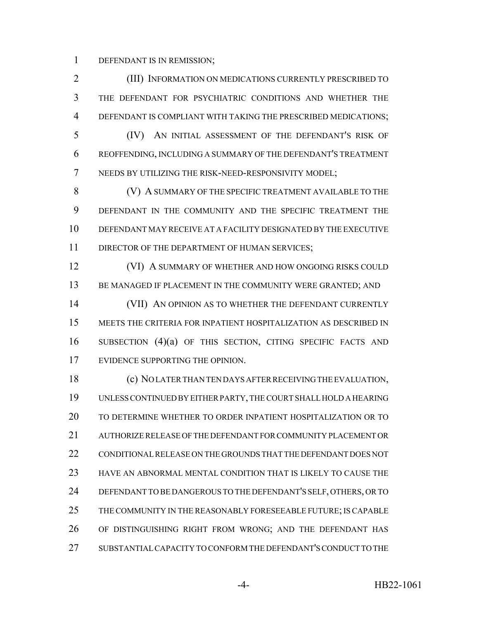DEFENDANT IS IN REMISSION;

 (III) INFORMATION ON MEDICATIONS CURRENTLY PRESCRIBED TO THE DEFENDANT FOR PSYCHIATRIC CONDITIONS AND WHETHER THE DEFENDANT IS COMPLIANT WITH TAKING THE PRESCRIBED MEDICATIONS;

 (IV) AN INITIAL ASSESSMENT OF THE DEFENDANT'S RISK OF REOFFENDING, INCLUDING A SUMMARY OF THE DEFENDANT'S TREATMENT NEEDS BY UTILIZING THE RISK-NEED-RESPONSIVITY MODEL;

8 (V) A SUMMARY OF THE SPECIFIC TREATMENT AVAILABLE TO THE DEFENDANT IN THE COMMUNITY AND THE SPECIFIC TREATMENT THE DEFENDANT MAY RECEIVE AT A FACILITY DESIGNATED BY THE EXECUTIVE 11 DIRECTOR OF THE DEPARTMENT OF HUMAN SERVICES;

**(VI) A SUMMARY OF WHETHER AND HOW ONGOING RISKS COULD** 13 BE MANAGED IF PLACEMENT IN THE COMMUNITY WERE GRANTED; AND

14 (VII) AN OPINION AS TO WHETHER THE DEFENDANT CURRENTLY MEETS THE CRITERIA FOR INPATIENT HOSPITALIZATION AS DESCRIBED IN SUBSECTION (4)(a) OF THIS SECTION, CITING SPECIFIC FACTS AND EVIDENCE SUPPORTING THE OPINION.

 (c) NO LATER THAN TEN DAYS AFTER RECEIVING THE EVALUATION, UNLESS CONTINUED BY EITHER PARTY, THE COURT SHALL HOLD A HEARING TO DETERMINE WHETHER TO ORDER INPATIENT HOSPITALIZATION OR TO AUTHORIZE RELEASE OF THE DEFENDANT FOR COMMUNITY PLACEMENT OR CONDITIONAL RELEASE ON THE GROUNDS THAT THE DEFENDANT DOES NOT HAVE AN ABNORMAL MENTAL CONDITION THAT IS LIKELY TO CAUSE THE DEFENDANT TO BE DANGEROUS TO THE DEFENDANT'S SELF, OTHERS, OR TO THE COMMUNITY IN THE REASONABLY FORESEEABLE FUTURE; IS CAPABLE OF DISTINGUISHING RIGHT FROM WRONG; AND THE DEFENDANT HAS SUBSTANTIAL CAPACITY TO CONFORM THE DEFENDANT'S CONDUCT TO THE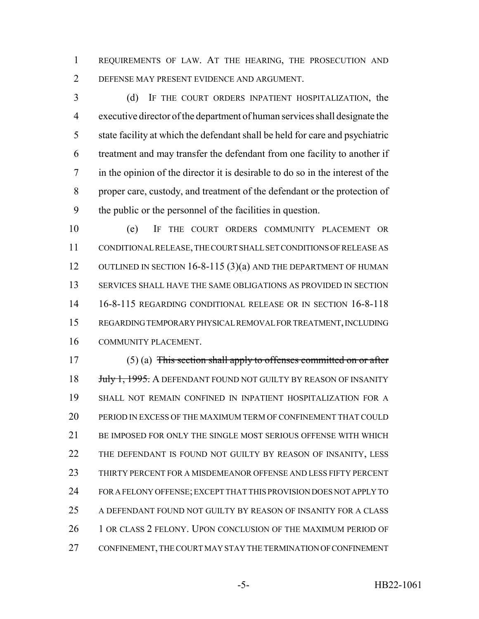REQUIREMENTS OF LAW. AT THE HEARING, THE PROSECUTION AND DEFENSE MAY PRESENT EVIDENCE AND ARGUMENT.

 (d) IF THE COURT ORDERS INPATIENT HOSPITALIZATION, the executive director of the department of human services shall designate the state facility at which the defendant shall be held for care and psychiatric treatment and may transfer the defendant from one facility to another if in the opinion of the director it is desirable to do so in the interest of the proper care, custody, and treatment of the defendant or the protection of the public or the personnel of the facilities in question.

 (e) IF THE COURT ORDERS COMMUNITY PLACEMENT OR CONDITIONAL RELEASE, THE COURT SHALL SET CONDITIONS OF RELEASE AS 12 OUTLINED IN SECTION 16-8-115 (3)(a) AND THE DEPARTMENT OF HUMAN SERVICES SHALL HAVE THE SAME OBLIGATIONS AS PROVIDED IN SECTION 16-8-115 REGARDING CONDITIONAL RELEASE OR IN SECTION 16-8-118 REGARDING TEMPORARY PHYSICAL REMOVAL FOR TREATMENT, INCLUDING COMMUNITY PLACEMENT.

 (5) (a) This section shall apply to offenses committed on or after *July 1, 1995.* A DEFENDANT FOUND NOT GUILTY BY REASON OF INSANITY SHALL NOT REMAIN CONFINED IN INPATIENT HOSPITALIZATION FOR A PERIOD IN EXCESS OF THE MAXIMUM TERM OF CONFINEMENT THAT COULD 21 BE IMPOSED FOR ONLY THE SINGLE MOST SERIOUS OFFENSE WITH WHICH 22 THE DEFENDANT IS FOUND NOT GUILTY BY REASON OF INSANITY, LESS THIRTY PERCENT FOR A MISDEMEANOR OFFENSE AND LESS FIFTY PERCENT FOR A FELONY OFFENSE; EXCEPT THAT THIS PROVISION DOES NOT APPLY TO A DEFENDANT FOUND NOT GUILTY BY REASON OF INSANITY FOR A CLASS 26 1 OR CLASS 2 FELONY. UPON CONCLUSION OF THE MAXIMUM PERIOD OF CONFINEMENT, THE COURT MAY STAY THE TERMINATION OF CONFINEMENT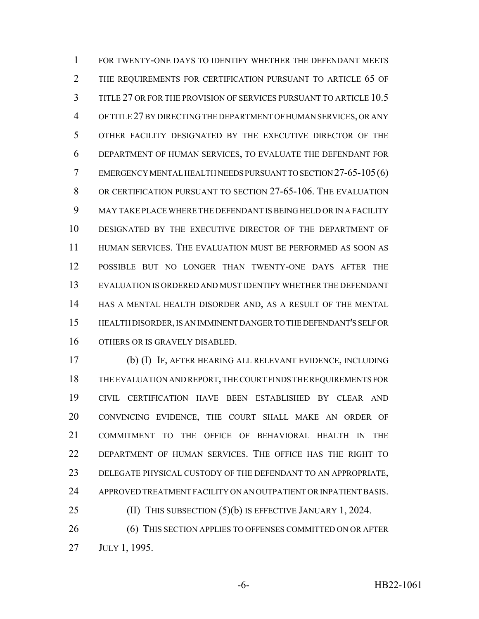FOR TWENTY-ONE DAYS TO IDENTIFY WHETHER THE DEFENDANT MEETS 2 THE REQUIREMENTS FOR CERTIFICATION PURSUANT TO ARTICLE 65 OF TITLE 27 OR FOR THE PROVISION OF SERVICES PURSUANT TO ARTICLE 10.5 OF TITLE 27 BY DIRECTING THE DEPARTMENT OF HUMAN SERVICES, OR ANY OTHER FACILITY DESIGNATED BY THE EXECUTIVE DIRECTOR OF THE DEPARTMENT OF HUMAN SERVICES, TO EVALUATE THE DEFENDANT FOR EMERGENCY MENTAL HEALTH NEEDS PURSUANT TO SECTION 27-65-105(6) OR CERTIFICATION PURSUANT TO SECTION 27-65-106. THE EVALUATION MAY TAKE PLACE WHERE THE DEFENDANT IS BEING HELD OR IN A FACILITY DESIGNATED BY THE EXECUTIVE DIRECTOR OF THE DEPARTMENT OF HUMAN SERVICES. THE EVALUATION MUST BE PERFORMED AS SOON AS POSSIBLE BUT NO LONGER THAN TWENTY-ONE DAYS AFTER THE EVALUATION IS ORDERED AND MUST IDENTIFY WHETHER THE DEFENDANT HAS A MENTAL HEALTH DISORDER AND, AS A RESULT OF THE MENTAL HEALTH DISORDER, IS AN IMMINENT DANGER TO THE DEFENDANT'S SELF OR OTHERS OR IS GRAVELY DISABLED.

 (b) (I) IF, AFTER HEARING ALL RELEVANT EVIDENCE, INCLUDING THE EVALUATION AND REPORT, THE COURT FINDS THE REQUIREMENTS FOR CIVIL CERTIFICATION HAVE BEEN ESTABLISHED BY CLEAR AND CONVINCING EVIDENCE, THE COURT SHALL MAKE AN ORDER OF COMMITMENT TO THE OFFICE OF BEHAVIORAL HEALTH IN THE DEPARTMENT OF HUMAN SERVICES. THE OFFICE HAS THE RIGHT TO DELEGATE PHYSICAL CUSTODY OF THE DEFENDANT TO AN APPROPRIATE, APPROVED TREATMENT FACILITY ON AN OUTPATIENT OR INPATIENT BASIS.

26 (6) THIS SECTION APPLIES TO OFFENSES COMMITTED ON OR AFTER JULY 1, 1995.

**(II) THIS SUBSECTION (5)(b) IS EFFECTIVE JANUARY 1, 2024.**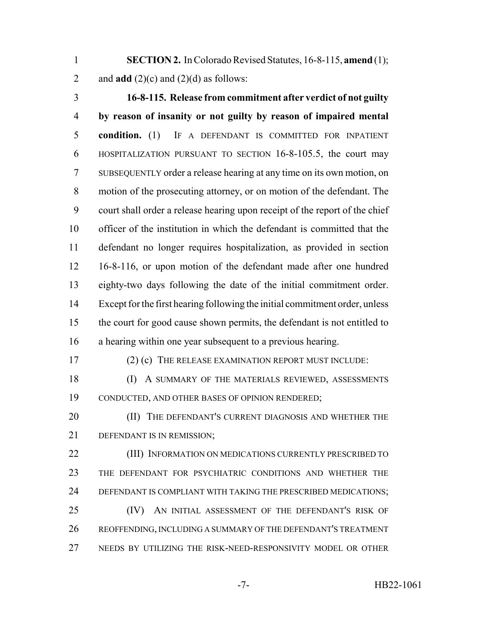**SECTION 2.** In Colorado Revised Statutes, 16-8-115, **amend** (1); 2 and  $\text{add}(2)(c)$  and  $(2)(d)$  as follows:

 **16-8-115. Release from commitment after verdict of not guilty by reason of insanity or not guilty by reason of impaired mental condition.** (1) IF A DEFENDANT IS COMMITTED FOR INPATIENT HOSPITALIZATION PURSUANT TO SECTION 16-8-105.5, the court may SUBSEQUENTLY order a release hearing at any time on its own motion, on motion of the prosecuting attorney, or on motion of the defendant. The court shall order a release hearing upon receipt of the report of the chief officer of the institution in which the defendant is committed that the defendant no longer requires hospitalization, as provided in section 16-8-116, or upon motion of the defendant made after one hundred eighty-two days following the date of the initial commitment order. Except for the first hearing following the initial commitment order, unless the court for good cause shown permits, the defendant is not entitled to a hearing within one year subsequent to a previous hearing.

17 (2) (c) THE RELEASE EXAMINATION REPORT MUST INCLUDE:

 (I) A SUMMARY OF THE MATERIALS REVIEWED, ASSESSMENTS CONDUCTED, AND OTHER BASES OF OPINION RENDERED;

**(II)** THE DEFENDANT'S CURRENT DIAGNOSIS AND WHETHER THE 21 DEFENDANT IS IN REMISSION:

 (III) INFORMATION ON MEDICATIONS CURRENTLY PRESCRIBED TO THE DEFENDANT FOR PSYCHIATRIC CONDITIONS AND WHETHER THE DEFENDANT IS COMPLIANT WITH TAKING THE PRESCRIBED MEDICATIONS; 25 (IV) AN INITIAL ASSESSMENT OF THE DEFENDANT'S RISK OF

 REOFFENDING, INCLUDING A SUMMARY OF THE DEFENDANT'S TREATMENT NEEDS BY UTILIZING THE RISK-NEED-RESPONSIVITY MODEL OR OTHER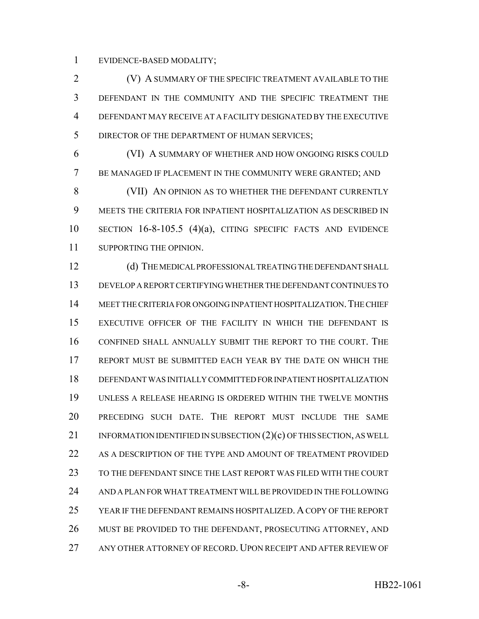EVIDENCE-BASED MODALITY;

 (V) A SUMMARY OF THE SPECIFIC TREATMENT AVAILABLE TO THE DEFENDANT IN THE COMMUNITY AND THE SPECIFIC TREATMENT THE DEFENDANT MAY RECEIVE AT A FACILITY DESIGNATED BY THE EXECUTIVE 5 DIRECTOR OF THE DEPARTMENT OF HUMAN SERVICES;

 (VI) A SUMMARY OF WHETHER AND HOW ONGOING RISKS COULD BE MANAGED IF PLACEMENT IN THE COMMUNITY WERE GRANTED; AND 8 (VII) AN OPINION AS TO WHETHER THE DEFENDANT CURRENTLY MEETS THE CRITERIA FOR INPATIENT HOSPITALIZATION AS DESCRIBED IN

 SECTION 16-8-105.5 (4)(a), CITING SPECIFIC FACTS AND EVIDENCE 11 SUPPORTING THE OPINION.

 (d) THE MEDICAL PROFESSIONAL TREATING THE DEFENDANT SHALL DEVELOP A REPORT CERTIFYING WHETHER THE DEFENDANT CONTINUES TO MEET THE CRITERIA FOR ONGOING INPATIENT HOSPITALIZATION.THE CHIEF EXECUTIVE OFFICER OF THE FACILITY IN WHICH THE DEFENDANT IS CONFINED SHALL ANNUALLY SUBMIT THE REPORT TO THE COURT. THE REPORT MUST BE SUBMITTED EACH YEAR BY THE DATE ON WHICH THE DEFENDANT WAS INITIALLY COMMITTED FOR INPATIENT HOSPITALIZATION UNLESS A RELEASE HEARING IS ORDERED WITHIN THE TWELVE MONTHS PRECEDING SUCH DATE. THE REPORT MUST INCLUDE THE SAME 21 INFORMATION IDENTIFIED IN SUBSECTION (2)(c) OF THIS SECTION, AS WELL AS A DESCRIPTION OF THE TYPE AND AMOUNT OF TREATMENT PROVIDED TO THE DEFENDANT SINCE THE LAST REPORT WAS FILED WITH THE COURT AND A PLAN FOR WHAT TREATMENT WILL BE PROVIDED IN THE FOLLOWING YEAR IF THE DEFENDANT REMAINS HOSPITALIZED. A COPY OF THE REPORT 26 MUST BE PROVIDED TO THE DEFENDANT, PROSECUTING ATTORNEY, AND ANY OTHER ATTORNEY OF RECORD. UPON RECEIPT AND AFTER REVIEW OF